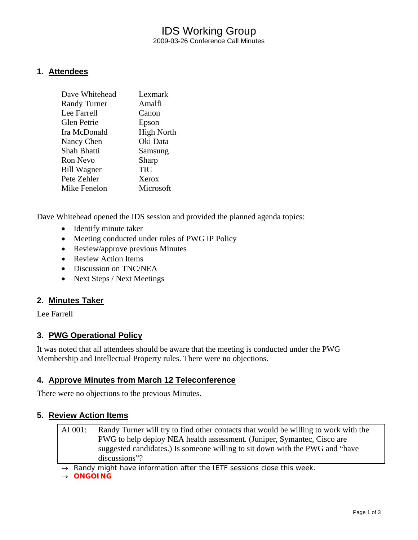## IDS Working Group 2009-03-26 Conference Call Minutes

#### **1. Attendees**

| Dave Whitehead      | Lexmark           |
|---------------------|-------------------|
| <b>Randy Turner</b> | Amalfi            |
| Lee Farrell         | Canon             |
| <b>Glen Petrie</b>  | Epson             |
| Ira McDonald        | <b>High North</b> |
| Nancy Chen          | Oki Data          |
| Shah Bhatti         | Samsung           |
| <b>Ron Nevo</b>     | Sharp             |
| <b>Bill Wagner</b>  | <b>TIC</b>        |
| Pete Zehler         | Xerox             |
| Mike Fenelon        | Microsoft         |
|                     |                   |

Dave Whitehead opened the IDS session and provided the planned agenda topics:

- Identify minute taker
- Meeting conducted under rules of PWG IP Policy
- Review/approve previous Minutes
- Review Action Items
- Discussion on TNC/NEA
- Next Steps / Next Meetings

#### **2. Minutes Taker**

Lee Farrell

#### **3. PWG Operational Policy**

It was noted that all attendees should be aware that the meeting is conducted under the PWG Membership and Intellectual Property rules. There were no objections.

#### **4. Approve Minutes from March 12 Teleconference**

There were no objections to the previous Minutes.

#### **5. Review Action Items**

AI 001: Randy Turner will try to find other contacts that would be willing to work with the PWG to help deploy NEA health assessment. (Juniper, Symantec, Cisco are suggested candidates.) Is someone willing to sit down with the PWG and "have discussions"?

→ *Randy might have information after the IETF sessions close this week.* 

→ *ONGOING*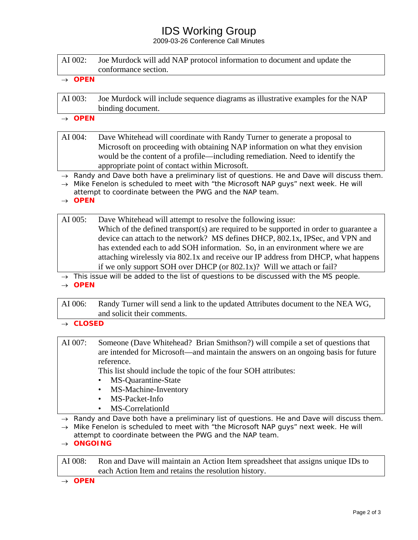# IDS Working Group

2009-03-26 Conference Call Minutes

| AI 002: | Joe Murdock will add NAP protocol information to document and update the |
|---------|--------------------------------------------------------------------------|
|         | conformance section.                                                     |

→ *OPEN* 

- AI 003: Joe Murdock will include sequence diagrams as illustrative examples for the NAP binding document.
- → *OPEN*

AI 004: Dave Whitehead will coordinate with Randy Turner to generate a proposal to Microsoft on proceeding with obtaining NAP information on what they envision would be the content of a profile—including remediation. Need to identify the appropriate point of contact within Microsoft.

- → *Randy and Dave both have a preliminary list of questions. He and Dave will discuss them.*
- → *Mike Fenelon is scheduled to meet with "the Microsoft NAP guys" next week. He will attempt to coordinate between the PWG and the NAP team.*
- → *OPEN*

#### AI 005: Dave Whitehead will attempt to resolve the following issue: Which of the defined transport(s) are required to be supported in order to guarantee a device can attach to the network? MS defines DHCP, 802.1x, IPSec, and VPN and has extended each to add SOH information. So, in an environment where we are attaching wirelessly via 802.1x and receive our IP address from DHCP, what happens if we only support SOH over DHCP (or 802.1x)? Will we attach or fail?

→ *This issue will be added to the list of questions to be discussed with the MS people.*  → *OPEN* 

AI 006: Randy Turner will send a link to the updated Attributes document to the NEA WG, and solicit their comments.

- → *CLOSED*
- AI 007: Someone (Dave Whitehead? Brian Smithson?) will compile a set of questions that are intended for Microsoft—and maintain the answers on an ongoing basis for future reference.

This list should include the topic of the four SOH attributes:

- MS-Quarantine-State
- MS-Machine-Inventory
- MS-Packet-Info
- MS-CorrelationId

→ *Randy and Dave both have a preliminary list of questions. He and Dave will discuss them.* 

→ *Mike Fenelon is scheduled to meet with "the Microsoft NAP guys" next week. He will attempt to coordinate between the PWG and the NAP team.* 

→ *ONGOING* 

AI 008: Ron and Dave will maintain an Action Item spreadsheet that assigns unique IDs to each Action Item and retains the resolution history.

→ *OPEN*